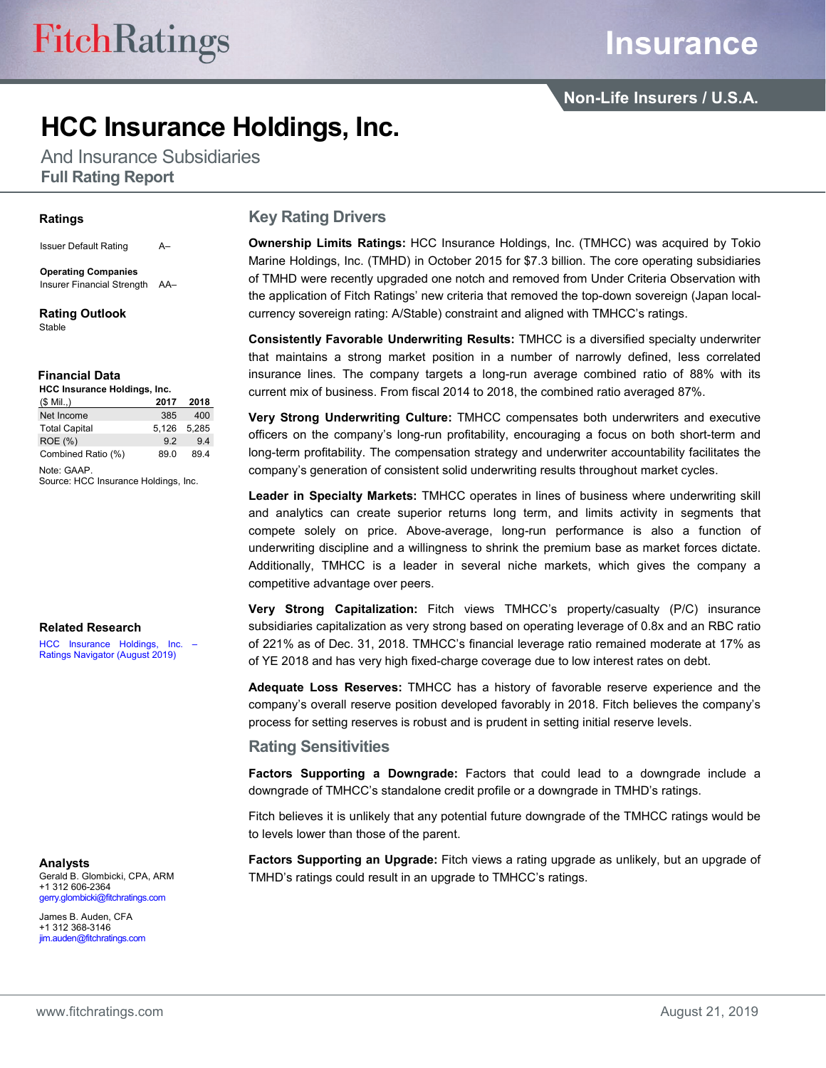## **HCC Insurance Holdings, Inc.**

And Insurance Subsidiaries **Full Rating Report**

#### **Ratings**

Issuer Default Rating A–

**Operating Companies** Insurer Financial Strength AA–

**Rating Outlook** Stable

#### **Financial Data**

| HCC Insurance Holdings, Inc. |       |       |  |  |  |  |  |  |  |
|------------------------------|-------|-------|--|--|--|--|--|--|--|
| $(S$ Mil.,)                  | 2017  | 2018  |  |  |  |  |  |  |  |
| Net Income                   | 385   | 400   |  |  |  |  |  |  |  |
| <b>Total Capital</b>         | 5.126 | 5.285 |  |  |  |  |  |  |  |
| <b>ROE</b> (%)               | 92    | 94    |  |  |  |  |  |  |  |
| Combined Ratio (%)           | 890   | 894   |  |  |  |  |  |  |  |

Note: GAAP. Source: HCC Insurance Holdings, Inc.

#### **Related Research**

HCC Insurance Holdings, Inc. [Ratings Navigator \(August 2019\)](https://www.fitchratings.com/site/re/10084216)

**Analysts**

Gerald B. Glombicki, CPA, ARM +1 312 606-2364 gerry.glombicki@fitchratings.com

James B. Auden, CFA +1 312 368-3146 jim.auden@fitchratings.com

#### **Key Rating Drivers**

**Ownership Limits Ratings:** HCC Insurance Holdings, Inc. (TMHCC) was acquired by Tokio Marine Holdings, Inc. (TMHD) in October 2015 for \$7.3 billion. The core operating subsidiaries of TMHD were recently upgraded one notch and removed from Under Criteria Observation with the application of Fitch Ratings' new criteria that removed the top-down sovereign (Japan localcurrency sovereign rating: A/Stable) constraint and aligned with TMHCC's ratings.

**Consistently Favorable Underwriting Results:** TMHCC is a diversified specialty underwriter that maintains a strong market position in a number of narrowly defined, less correlated insurance lines. The company targets a long-run average combined ratio of 88% with its current mix of business. From fiscal 2014 to 2018, the combined ratio averaged 87%.

**Very Strong Underwriting Culture:** TMHCC compensates both underwriters and executive officers on the company's long-run profitability, encouraging a focus on both short-term and long-term profitability. The compensation strategy and underwriter accountability facilitates the company's generation of consistent solid underwriting results throughout market cycles.

**Leader in Specialty Markets:** TMHCC operates in lines of business where underwriting skill and analytics can create superior returns long term, and limits activity in segments that compete solely on price. Above-average, long-run performance is also a function of underwriting discipline and a willingness to shrink the premium base as market forces dictate. Additionally, TMHCC is a leader in several niche markets, which gives the company a competitive advantage over peers.

**Very Strong Capitalization:** Fitch views TMHCC's property/casualty (P/C) insurance subsidiaries capitalization as very strong based on operating leverage of 0.8x and an RBC ratio of 221% as of Dec. 31, 2018. TMHCC's financial leverage ratio remained moderate at 17% as of YE 2018 and has very high fixed-charge coverage due to low interest rates on debt.

**Adequate Loss Reserves:** TMHCC has a history of favorable reserve experience and the company's overall reserve position developed favorably in 2018. Fitch believes the company's process for setting reserves is robust and is prudent in setting initial reserve levels.

#### **Rating Sensitivities**

**Factors Supporting a Downgrade:** Factors that could lead to a downgrade include a downgrade of TMHCC's standalone credit profile or a downgrade in TMHD's ratings.

Fitch believes it is unlikely that any potential future downgrade of the TMHCC ratings would be to levels lower than those of the parent.

**Factors Supporting an Upgrade:** Fitch views a rating upgrade as unlikely, but an upgrade of TMHD's ratings could result in an upgrade to TMHCC's ratings.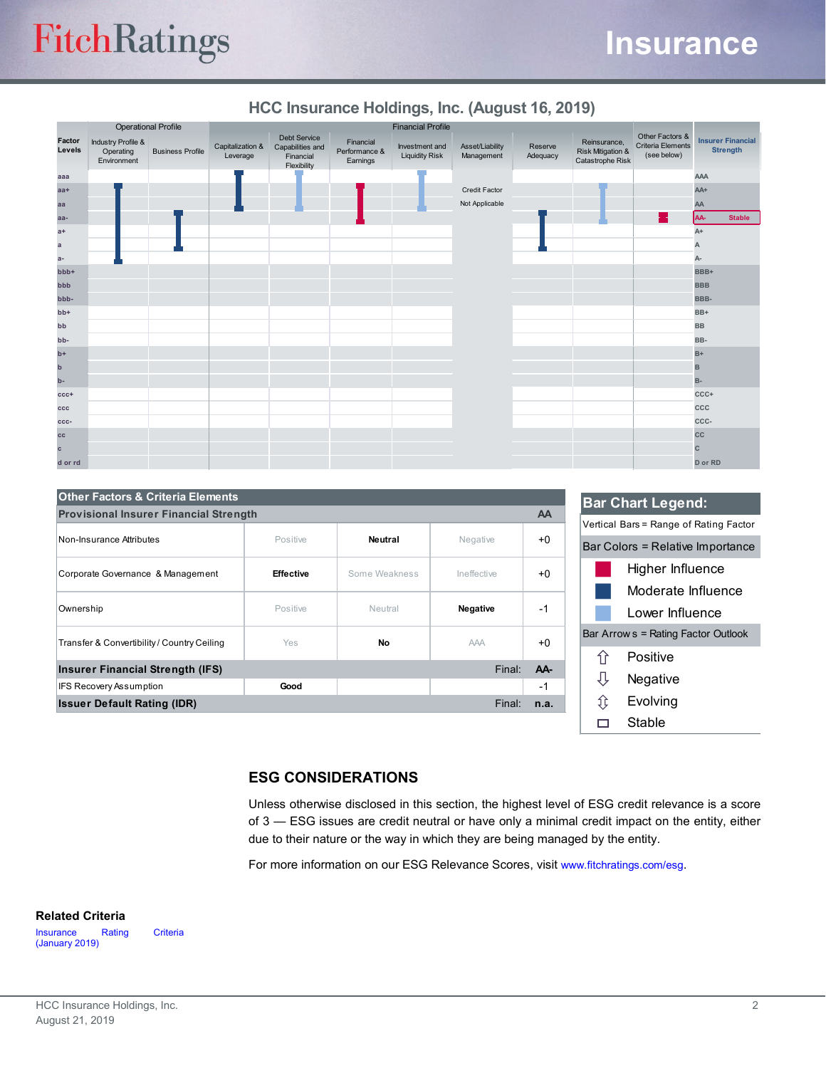# **FitchRatings**

#### **Insurance HCC Insurance Holdings, Inc. (August 16, 2019) Insurer Financial Strength** Reinsurance, Risk Mitigation & Catastrophe Risk Reserve Adequacy Asset/Liability Management Other Factors & Criteria Elements (see below) Investment and Liquidity Risk Financial Performance & Earnings Credit Factor Not Applicable Financial Flexibility

|                  |                                                           | <b>Operational Profile</b> |                              |                                                                     |                                        | <b>Financial Profile</b>                |                               |                     |                                                                  |                                                     |            |                                             |
|------------------|-----------------------------------------------------------|----------------------------|------------------------------|---------------------------------------------------------------------|----------------------------------------|-----------------------------------------|-------------------------------|---------------------|------------------------------------------------------------------|-----------------------------------------------------|------------|---------------------------------------------|
| Factor<br>Levels | <b>Industry Profile &amp;</b><br>Operating<br>Environment | <b>Business Profile</b>    | Capitalization &<br>Leverage | <b>Debt Service</b><br>Capabilities and<br>Financial<br>Flexibility | Financial<br>Performance &<br>Earnings | Investment and<br><b>Liquidity Risk</b> | Asset/Liability<br>Management | Reserve<br>Adequacy | Reinsurance,<br><b>Risk Mitigation &amp;</b><br>Catastrophe Risk | Other Factors &<br>Criteria Elements<br>(see below) |            | <b>Insurer Financial</b><br><b>Strength</b> |
| aaa              |                                                           |                            |                              |                                                                     |                                        |                                         |                               |                     |                                                                  |                                                     | <b>AAA</b> |                                             |
| $aa+$            |                                                           |                            |                              |                                                                     |                                        |                                         | Credit Factor                 |                     |                                                                  |                                                     | AA+        |                                             |
| aa               |                                                           |                            |                              |                                                                     |                                        |                                         | Not Applicable                |                     |                                                                  |                                                     | AA         |                                             |
| aa-              |                                                           |                            |                              |                                                                     |                                        |                                         |                               |                     |                                                                  |                                                     | AA-        | <b>Stable</b>                               |
| $a+$             |                                                           |                            |                              |                                                                     |                                        |                                         |                               |                     |                                                                  |                                                     | $A+$       |                                             |
| $\mathbf{a}$     |                                                           |                            |                              |                                                                     |                                        |                                         |                               |                     |                                                                  |                                                     |            |                                             |
| $a-$             |                                                           |                            |                              |                                                                     |                                        |                                         |                               |                     |                                                                  |                                                     | А-         |                                             |
| bbb+             |                                                           |                            |                              |                                                                     |                                        |                                         |                               |                     |                                                                  |                                                     | BBB+       |                                             |
| bbb              |                                                           |                            |                              |                                                                     |                                        |                                         |                               |                     |                                                                  |                                                     | <b>BBB</b> |                                             |
| bbb-             |                                                           |                            |                              |                                                                     |                                        |                                         |                               |                     |                                                                  |                                                     | BBB-       |                                             |
| $bb+$            |                                                           |                            |                              |                                                                     |                                        |                                         |                               |                     |                                                                  |                                                     | BB+        |                                             |
| bb               |                                                           |                            |                              |                                                                     |                                        |                                         |                               |                     |                                                                  |                                                     | <b>BB</b>  |                                             |
| bb-              |                                                           |                            |                              |                                                                     |                                        |                                         |                               |                     |                                                                  |                                                     | BB-        |                                             |
| $b+$             |                                                           |                            |                              |                                                                     |                                        |                                         |                               |                     |                                                                  |                                                     | $B+$       |                                             |
| $\mathsf b$      |                                                           |                            |                              |                                                                     |                                        |                                         |                               |                     |                                                                  |                                                     | B          |                                             |
| b-               |                                                           |                            |                              |                                                                     |                                        |                                         |                               |                     |                                                                  |                                                     | <b>B-</b>  |                                             |
| $ccc+$           |                                                           |                            |                              |                                                                     |                                        |                                         |                               |                     |                                                                  |                                                     | CCC+       |                                             |
| ccc              |                                                           |                            |                              |                                                                     |                                        |                                         |                               |                     |                                                                  |                                                     | ccc        |                                             |
| ccc-             |                                                           |                            |                              |                                                                     |                                        |                                         |                               |                     |                                                                  |                                                     | CCC-       |                                             |
| cc               |                                                           |                            |                              |                                                                     |                                        |                                         |                               |                     |                                                                  |                                                     | cc         |                                             |
| $\mathbf c$      |                                                           |                            |                              |                                                                     |                                        |                                         |                               |                     |                                                                  |                                                     | C          |                                             |
| d or rd          |                                                           |                            |                              |                                                                     |                                        |                                         |                               |                     |                                                                  |                                                     | D or RD    |                                             |

| HCC Insurance Holdings, Inc. (August 16, 2019) |  |  |
|------------------------------------------------|--|--|

| <b>Provisional Insurer Financial Strength</b> |                  |               |                 | AA   |
|-----------------------------------------------|------------------|---------------|-----------------|------|
| Non-Insurance Attributes                      | Positive         | Neutral       | Negative        | $+0$ |
| Corporate Governance & Management             | <b>Effective</b> | Some Weakness | Ineffective     | $+0$ |
| Ownership                                     | Positive         | Neutral       | <b>Negative</b> | -1   |
| Transfer & Convertibility / Country Ceiling   | <b>Yes</b>       | No            | <b>AAA</b>      | $+0$ |
| <b>Insurer Financial Strength (IFS)</b>       |                  |               | Final:          | AA-  |
| <b>IFS Recovery Assumption</b>                | Good             |               |                 | $-1$ |
| <b>Issuer Default Rating (IDR)</b>            |                  |               | Final:          | n.a. |



#### **ESG CONSIDERATIONS**

Unless otherwise disclosed in this section, the highest level of ESG credit relevance is a score of 3 — ESG issues are credit neutral or have only a minimal credit impact on the entity, either due to their nature or the way in which they are being managed by the entity.

For more information on our ESG Relevance Scores, visit [www.fitchratings.com/esg.](http://www.fitchratings.com/esg)

#### **Related Criteria**

[Insurance Rating Criteria](https://www.fitchratings.com/site/re/10058790)  [\(January 2019\)](https://www.fitchratings.com/site/re/10058790)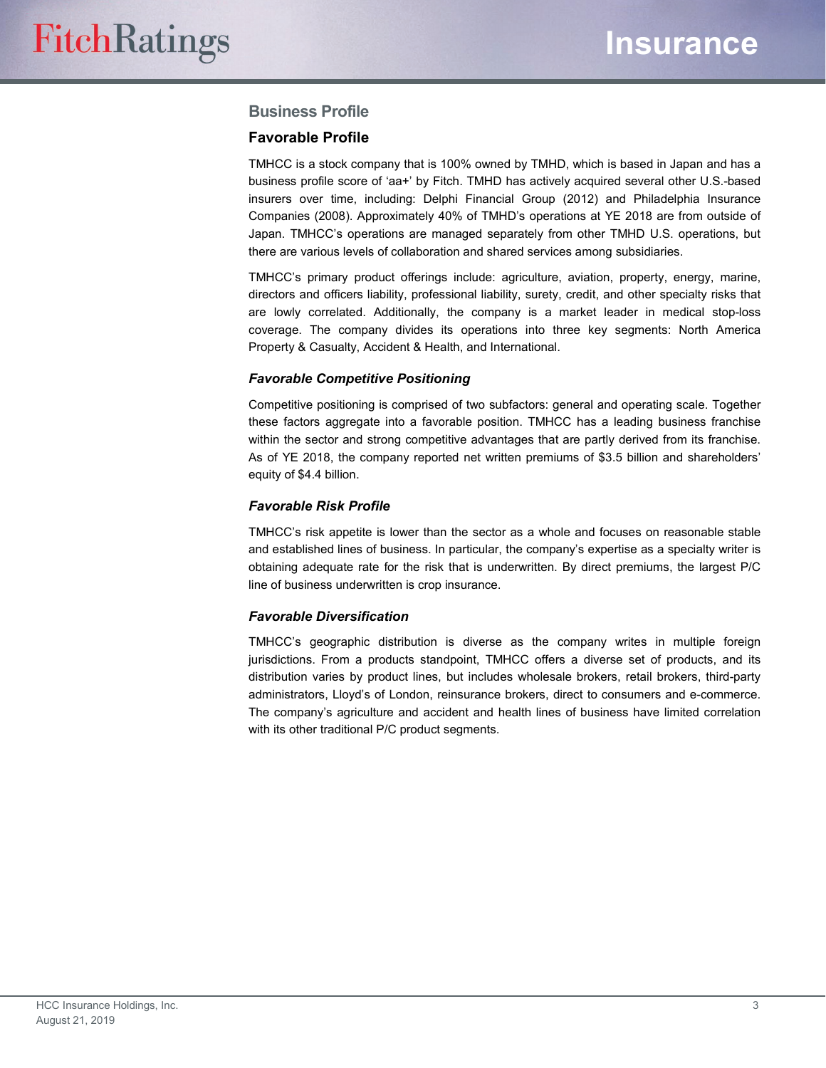#### **Business Profile**

#### **Favorable Profile**

TMHCC is a stock company that is 100% owned by TMHD, which is based in Japan and has a business profile score of 'aa+' by Fitch. TMHD has actively acquired several other U.S.-based insurers over time, including: Delphi Financial Group (2012) and Philadelphia Insurance Companies (2008). Approximately 40% of TMHD's operations at YE 2018 are from outside of Japan. TMHCC's operations are managed separately from other TMHD U.S. operations, but there are various levels of collaboration and shared services among subsidiaries.

TMHCC's primary product offerings include: agriculture, aviation, property, energy, marine, directors and officers liability, professional liability, surety, credit, and other specialty risks that are lowly correlated. Additionally, the company is a market leader in medical stop-loss coverage. The company divides its operations into three key segments: North America Property & Casualty, Accident & Health, and International.

#### *Favorable Competitive Positioning*

Competitive positioning is comprised of two subfactors: general and operating scale. Together these factors aggregate into a favorable position. TMHCC has a leading business franchise within the sector and strong competitive advantages that are partly derived from its franchise. As of YE 2018, the company reported net written premiums of \$3.5 billion and shareholders' equity of \$4.4 billion.

#### *Favorable Risk Profile*

TMHCC's risk appetite is lower than the sector as a whole and focuses on reasonable stable and established lines of business. In particular, the company's expertise as a specialty writer is obtaining adequate rate for the risk that is underwritten. By direct premiums, the largest P/C line of business underwritten is crop insurance.

#### *Favorable Diversification*

TMHCC's geographic distribution is diverse as the company writes in multiple foreign jurisdictions. From a products standpoint, TMHCC offers a diverse set of products, and its distribution varies by product lines, but includes wholesale brokers, retail brokers, third-party administrators, Lloyd's of London, reinsurance brokers, direct to consumers and e-commerce. The company's agriculture and accident and health lines of business have limited correlation with its other traditional P/C product segments.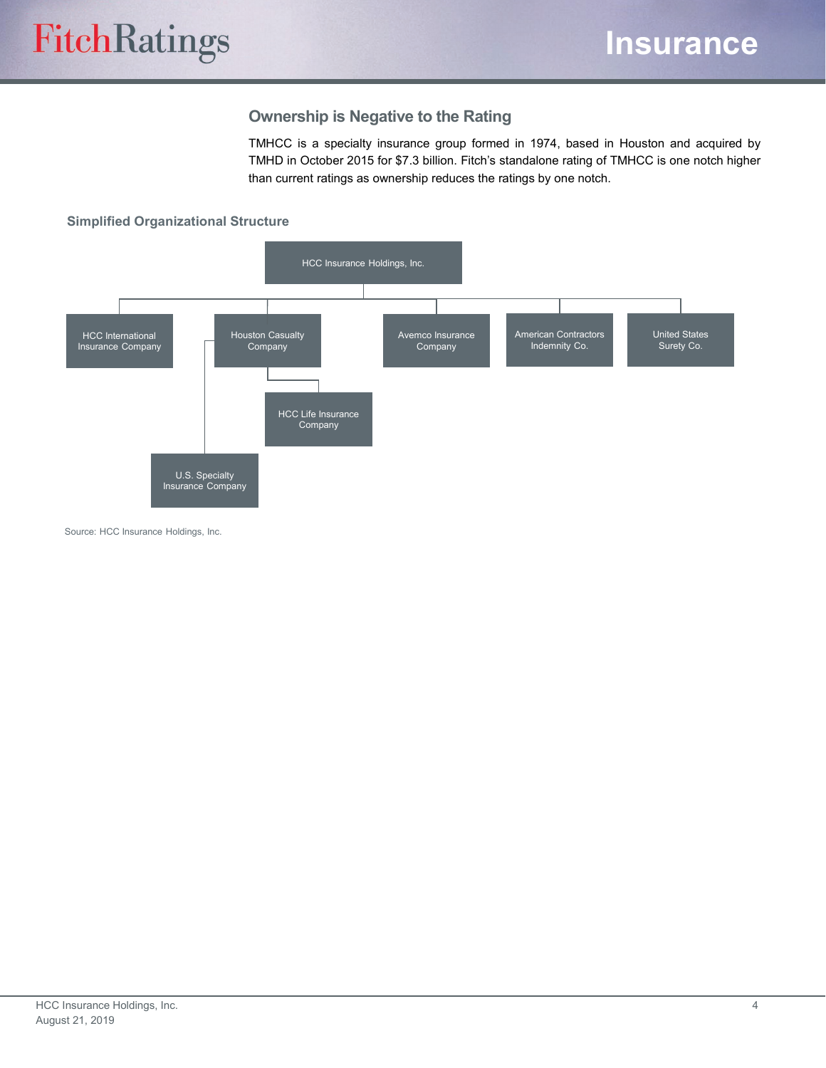#### **Ownership is Negative to the Rating**

TMHCC is a specialty insurance group formed in 1974, based in Houston and acquired by TMHD in October 2015 for \$7.3 billion. Fitch's standalone rating of TMHCC is one notch higher than current ratings as ownership reduces the ratings by one notch.

#### **Simplified Organizational Structure**



Source: HCC Insurance Holdings, Inc.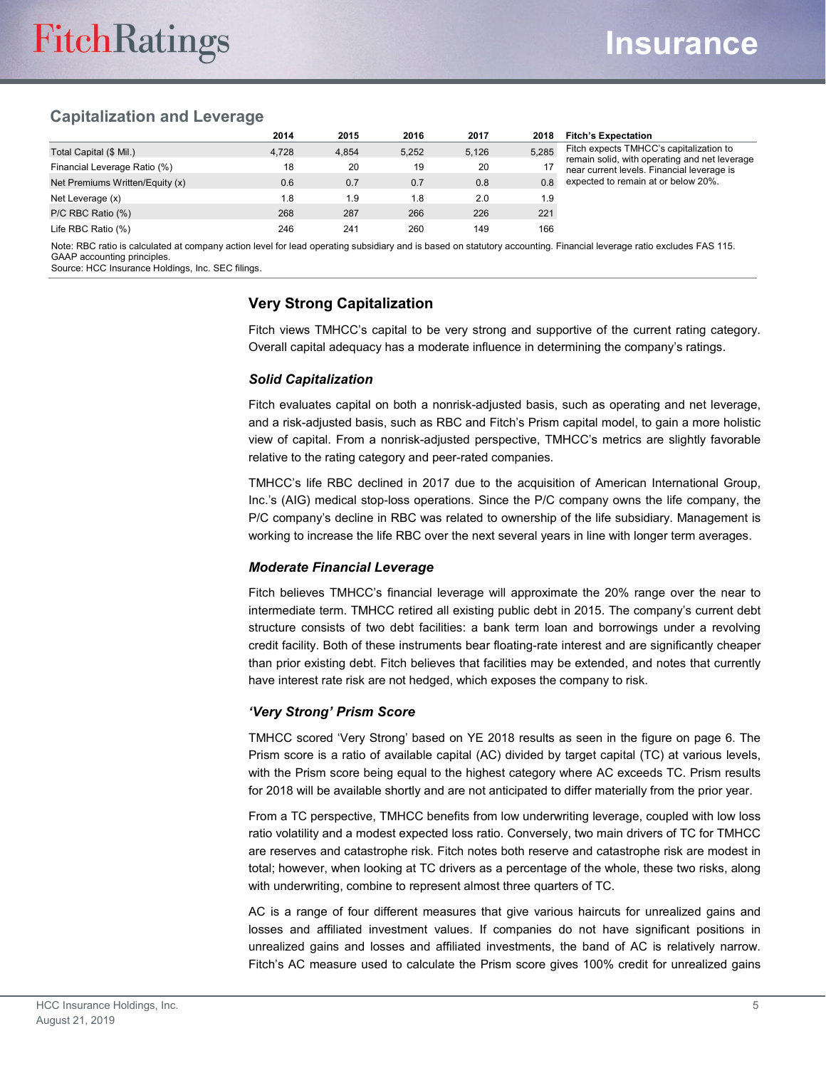#### **Capitalization and Leverage**

|                                 | 2014  | 2015  | 2016  | 2017  | 2018  | <b>Fitch's Expectation</b>                                                               |
|---------------------------------|-------|-------|-------|-------|-------|------------------------------------------------------------------------------------------|
| Total Capital (\$ Mil.)         | 4.728 | 4.854 | 5.252 | 5,126 | 5.285 | Fitch expects TMHCC's capitalization to<br>remain solid, with operating and net leverage |
| Financial Leverage Ratio (%)    | 18    | 20    | 19    | 20    |       | near current levels. Financial leverage is                                               |
| Net Premiums Written/Equity (x) | 0.6   | 0.7   | 0.7   | 0.8   | 0.8   | expected to remain at or below 20%.                                                      |
| Net Leverage (x)                | 1.8   | 1.9   | 8. ا  | 2.0   | 1.9   |                                                                                          |
| P/C RBC Ratio (%)               | 268   | 287   | 266   | 226   | 221   |                                                                                          |
| Life RBC Ratio (%)              | 246   | 241   | 260   | 149   | 166   |                                                                                          |

Note: RBC ratio is calculated at company action level for lead operating subsidiary and is based on statutory accounting. Financial leverage ratio excludes FAS 115. GAAP accounting principles.

Source: HCC Insurance Holdings, Inc. SEC filings.

#### **Very Strong Capitalization**

Fitch views TMHCC's capital to be very strong and supportive of the current rating category. Overall capital adequacy has a moderate influence in determining the company's ratings.

#### *Solid Capitalization*

Fitch evaluates capital on both a nonrisk-adjusted basis, such as operating and net leverage, and a risk-adjusted basis, such as RBC and Fitch's Prism capital model, to gain a more holistic view of capital. From a nonrisk-adjusted perspective, TMHCC's metrics are slightly favorable relative to the rating category and peer-rated companies.

TMHCC's life RBC declined in 2017 due to the acquisition of American International Group, Inc.'s (AIG) medical stop-loss operations. Since the P/C company owns the life company, the P/C company's decline in RBC was related to ownership of the life subsidiary. Management is working to increase the life RBC over the next several years in line with longer term averages.

#### *Moderate Financial Leverage*

Fitch believes TMHCC's financial leverage will approximate the 20% range over the near to intermediate term. TMHCC retired all existing public debt in 2015. The company's current debt structure consists of two debt facilities: a bank term loan and borrowings under a revolving credit facility. Both of these instruments bear floating-rate interest and are significantly cheaper than prior existing debt. Fitch believes that facilities may be extended, and notes that currently have interest rate risk are not hedged, which exposes the company to risk.

#### *'Very Strong' Prism Score*

TMHCC scored 'Very Strong' based on YE 2018 results as seen in the figure on page 6. The Prism score is a ratio of available capital (AC) divided by target capital (TC) at various levels, with the Prism score being equal to the highest category where AC exceeds TC. Prism results for 2018 will be available shortly and are not anticipated to differ materially from the prior year.

From a TC perspective, TMHCC benefits from low underwriting leverage, coupled with low loss ratio volatility and a modest expected loss ratio. Conversely, two main drivers of TC for TMHCC are reserves and catastrophe risk. Fitch notes both reserve and catastrophe risk are modest in total; however, when looking at TC drivers as a percentage of the whole, these two risks, along with underwriting, combine to represent almost three quarters of TC.

AC is a range of four different measures that give various haircuts for unrealized gains and losses and affiliated investment values. If companies do not have significant positions in unrealized gains and losses and affiliated investments, the band of AC is relatively narrow. Fitch's AC measure used to calculate the Prism score gives 100% credit for unrealized gains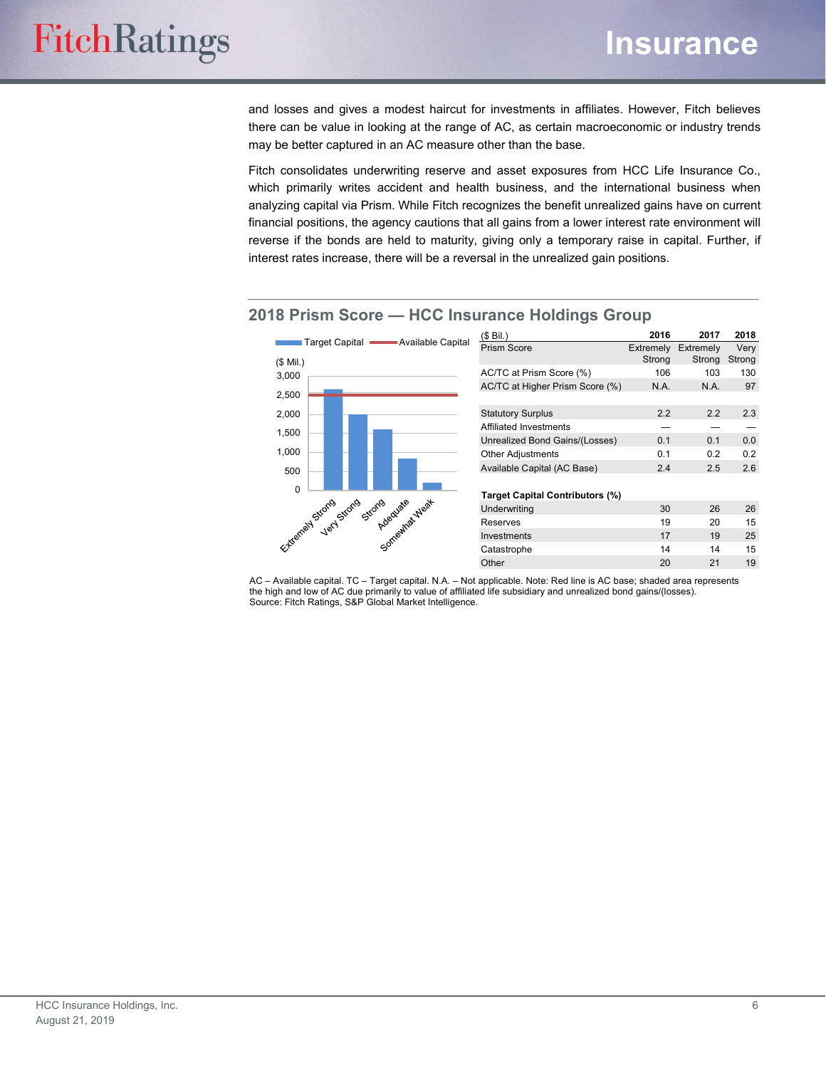and losses and gives a modest haircut for investments in affiliates. However, Fitch believes there can be value in looking at the range of AC, as certain macroeconomic or industry trends may be better captured in an AC measure other than the base.

Fitch consolidates underwriting reserve and asset exposures from HCC Life Insurance Co., which primarily writes accident and health business, and the international business when analyzing capital via Prism. While Fitch recognizes the benefit unrealized gains have on current financial positions, the agency cautions that all gains from a lower interest rate environment will reverse if the bonds are held to maturity, giving only a temporary raise in capital. Further, if interest rates increase, there will be a reversal in the unrealized gain positions.



#### **2018 Prism Score — HCC Insurance Holdings Group**

AC – Available capital. TC – Target capital. N.A. – Not applicable. Note: Red line is AC base; shaded area represents the high and low of AC due primarily to value of affiliated life subsidiary and unrealized bond gains/(losses). Source: Fitch Ratings, S&P Global Market Intelligence.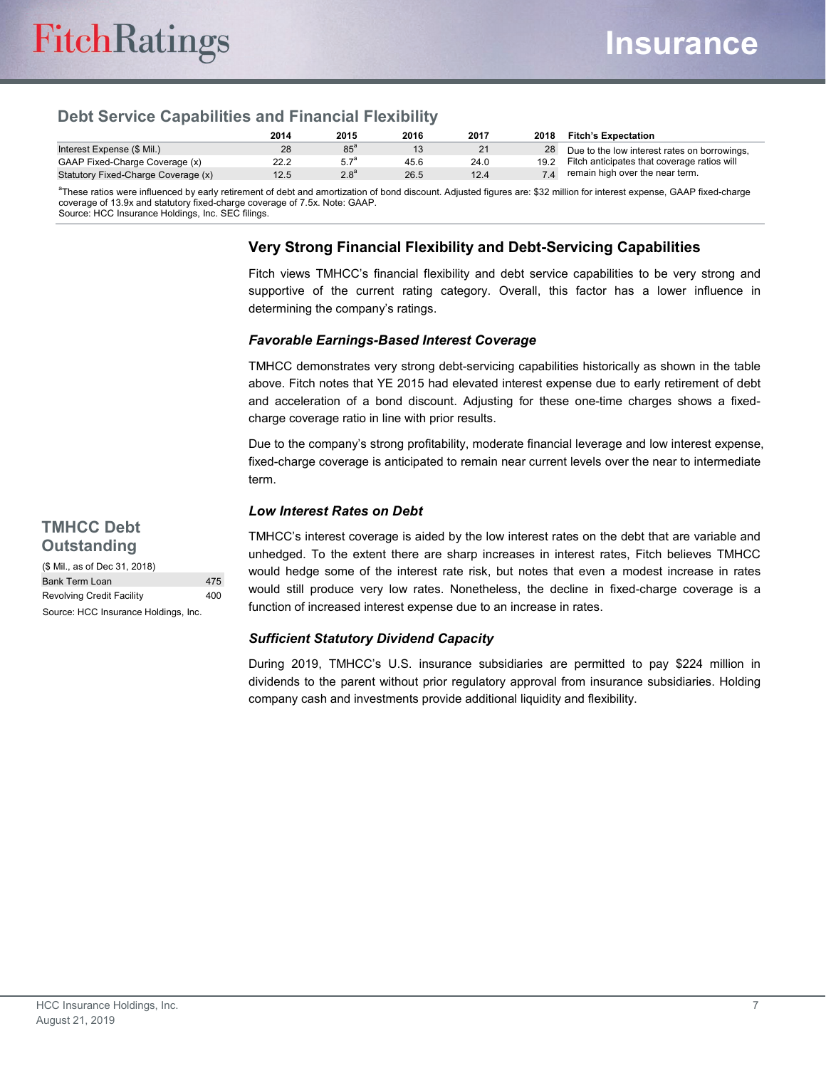### **Debt Service Capabilities and Financial Flexibility**

|                                     | 2014 | 2015             | 2016 | 2017 | 2018 | <b>Fitch's Expectation</b>                   |
|-------------------------------------|------|------------------|------|------|------|----------------------------------------------|
| Interest Expense (\$ Mil.)          | 28   | $85^{\circ}$     |      | 21   | 28   | Due to the low interest rates on borrowings, |
| GAAP Fixed-Charge Coverage (x)      | 22.2 | 5.7 <sup>a</sup> | 45.6 | 24.0 | 19.2 | Fitch anticipates that coverage ratios will  |
| Statutory Fixed-Charge Coverage (x) | 12.5 | 2.8 <sup>a</sup> | 26.5 | 12.4 |      | remain high over the near term.              |

a These ratios were influenced by early retirement of debt and amortization of bond discount. Adjusted figures are: \$32 million for interest expense, GAAP fixed-charge coverage of 13.9x and statutory fixed-charge coverage of 7.5x. Note: GAAP. Source: HCC Insurance Holdings, Inc. SEC filings.

#### **Very Strong Financial Flexibility and Debt-Servicing Capabilities**

Fitch views TMHCC's financial flexibility and debt service capabilities to be very strong and supportive of the current rating category. Overall, this factor has a lower influence in determining the company's ratings.

#### *Favorable Earnings-Based Interest Coverage*

TMHCC demonstrates very strong debt-servicing capabilities historically as shown in the table above. Fitch notes that YE 2015 had elevated interest expense due to early retirement of debt and acceleration of a bond discount. Adjusting for these one-time charges shows a fixedcharge coverage ratio in line with prior results.

Due to the company's strong profitability, moderate financial leverage and low interest expense, fixed-charge coverage is anticipated to remain near current levels over the near to intermediate term.

#### *Low Interest Rates on Debt*

#### **TMHCC Debt Outstanding**

(\$ Mil., as of Dec 31, 2018) Bank Term Loan 475 Revolving Credit Facility 400 Source: HCC Insurance Holdings, Inc.

TMHCC's interest coverage is aided by the low interest rates on the debt that are variable and unhedged. To the extent there are sharp increases in interest rates, Fitch believes TMHCC would hedge some of the interest rate risk, but notes that even a modest increase in rates would still produce very low rates. Nonetheless, the decline in fixed-charge coverage is a function of increased interest expense due to an increase in rates.

#### *Sufficient Statutory Dividend Capacity*

During 2019, TMHCC's U.S. insurance subsidiaries are permitted to pay \$224 million in dividends to the parent without prior regulatory approval from insurance subsidiaries. Holding company cash and investments provide additional liquidity and flexibility.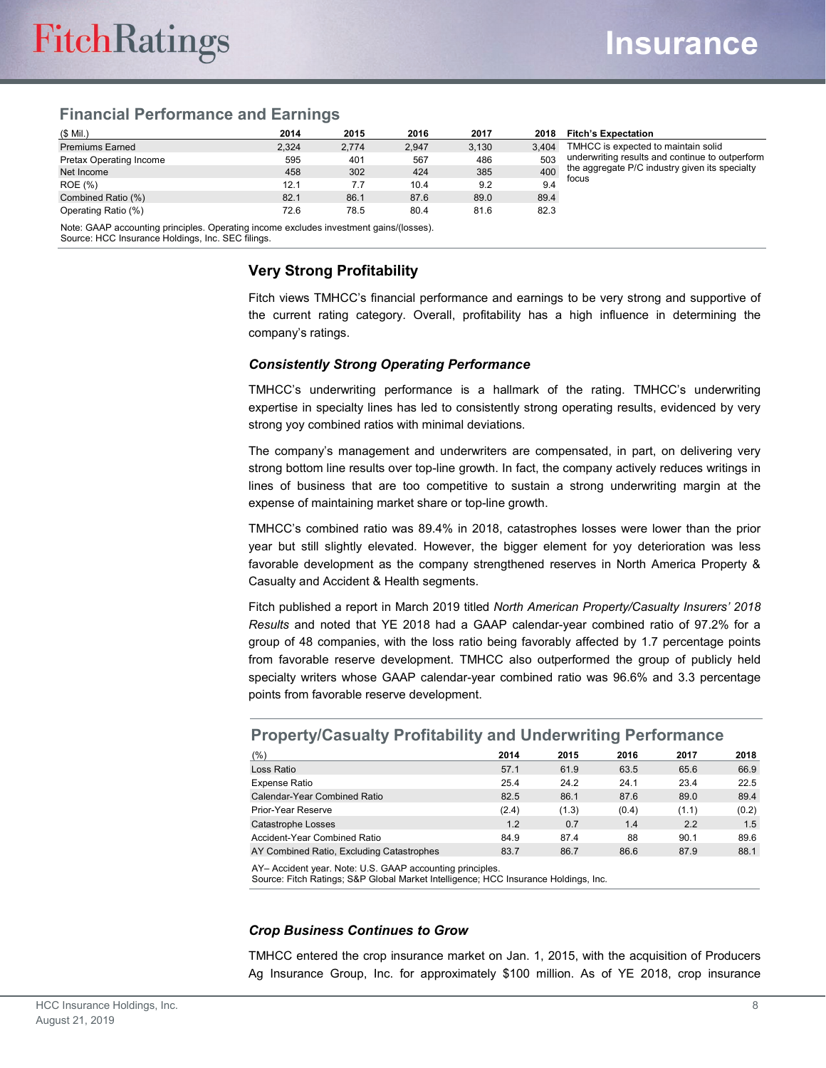#### **Financial Performance and Earnings**

| $(S$ Mil.)              | 2014  | 2015  | 2016  | 2017  | 2018  | <b>Fitch's Expectation</b>                              |
|-------------------------|-------|-------|-------|-------|-------|---------------------------------------------------------|
| <b>Premiums Earned</b>  | 2.324 | 2.774 | 2.947 | 3.130 | 3.404 | TMHCC is expected to maintain solid                     |
| Pretax Operating Income | 595   | 401   | 567   | 486   | 503   | underwriting results and continue to outperform         |
| Net Income              | 458   | 302   | 424   | 385   | 400   | the aggregate P/C industry given its specialty<br>focus |
| <b>ROE</b> (%)          | 12.1  | 7.7   | 10.4  | 9.2   | 9.4   |                                                         |
| Combined Ratio (%)      | 82.1  | 86.1  | 87.6  | 89.0  | 89.4  |                                                         |
| Operating Ratio (%)     | 72.6  | 78.5  | 80.4  | 81.6  | 82.3  |                                                         |

Note: GAAP accounting principles. Operating income excludes investment gains/(losses).

Source: HCC Insurance Holdings, Inc. SEC filings.

#### **Very Strong Profitability**

Fitch views TMHCC's financial performance and earnings to be very strong and supportive of the current rating category. Overall, profitability has a high influence in determining the company's ratings.

#### *Consistently Strong Operating Performance*

TMHCC's underwriting performance is a hallmark of the rating. TMHCC's underwriting exp*e*rtise in specialty lines has led to consistently strong operating results, evidenced by very strong yoy combined ratios with minimal deviations.

The company's management and underwriters are compensated, in part, on delivering very strong bottom line results over top-line growth. In fact, the company actively reduces writings in lines of business that are too competitive to sustain a strong underwriting margin at the expense of maintaining market share or top-line growth.

TMHCC's combined ratio was 89.4% in 2018, catastrophes losses were lower than the prior year but still slightly elevated. However, the bigger element for yoy deterioration was less favorable development as the company strengthened reserves in North America Property & Casualty and Accident & Health segments.

Fitch published a report in March 2019 titled *North American Property/Casualty Insurers' 2018 Results* and noted that YE 2018 had a GAAP calendar-year combined ratio of 97.2% for a group of 48 companies, with the loss ratio being favorably affected by 1.7 percentage points from favorable reserve development. TMHCC also outperformed the group of publicly held specialty writers whose GAAP calendar-year combined ratio was 96.6% and 3.3 percentage points from favorable reserve development.

| ------------                              |       |       |       |       |       |
|-------------------------------------------|-------|-------|-------|-------|-------|
| (% )                                      | 2014  | 2015  | 2016  | 2017  | 2018  |
| Loss Ratio                                | 57.1  | 61.9  | 63.5  | 65.6  | 66.9  |
| Expense Ratio                             | 25.4  | 24.2  | 24.1  | 23.4  | 22.5  |
| Calendar-Year Combined Ratio              | 82.5  | 86.1  | 87.6  | 89.0  | 89.4  |
| Prior-Year Reserve                        | (2.4) | (1.3) | (0.4) | (1.1) | (0.2) |
| Catastrophe Losses                        | 1.2   | 0.7   | 1.4   | 2.2   | 1.5   |
| Accident-Year Combined Ratio              | 84.9  | 87.4  | 88    | 90.1  | 89.6  |
| AY Combined Ratio, Excluding Catastrophes | 83.7  | 86.7  | 86.6  | 87.9  | 88.1  |

#### **Property/Casualty Profitability and Underwriting Performance**

AY– Accident year. Note: U.S. GAAP accounting principles.

Source: Fitch Ratings; S&P Global Market Intelligence; HCC Insurance Holdings, Inc.

#### *Crop Business Continues to Grow*

TMHCC entered the crop insurance market on Jan. 1, 2015, with the acquisition of Producers Ag Insurance Group, Inc. for approximately \$100 million. As of YE 2018, crop insurance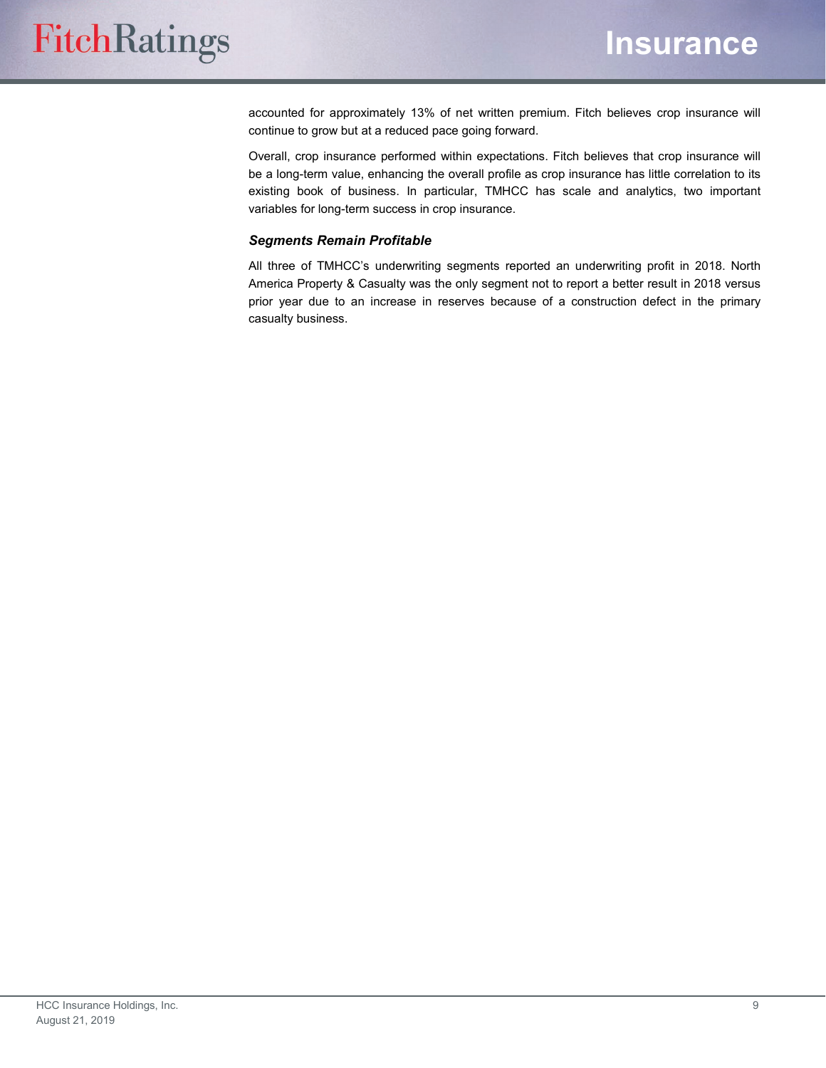accounted for approximately 13% of net written premium. Fitch believes crop insurance will continue to grow but at a reduced pace going forward.

Overall, crop insurance performed within expectations. Fitch believes that crop insurance will be a long-term value, enhancing the overall profile as crop insurance has little correlation to its existing book of business. In particular, TMHCC has scale and analytics, two important variables for long-term success in crop insurance.

#### *Segments Remain Profitable*

All three of TMHCC's underwriting segments reported an underwriting profit in 2018. North America Property & Casualty was the only segment not to report a better result in 2018 versus prior year due to an increase in reserves because of a construction defect in the primary casualty business.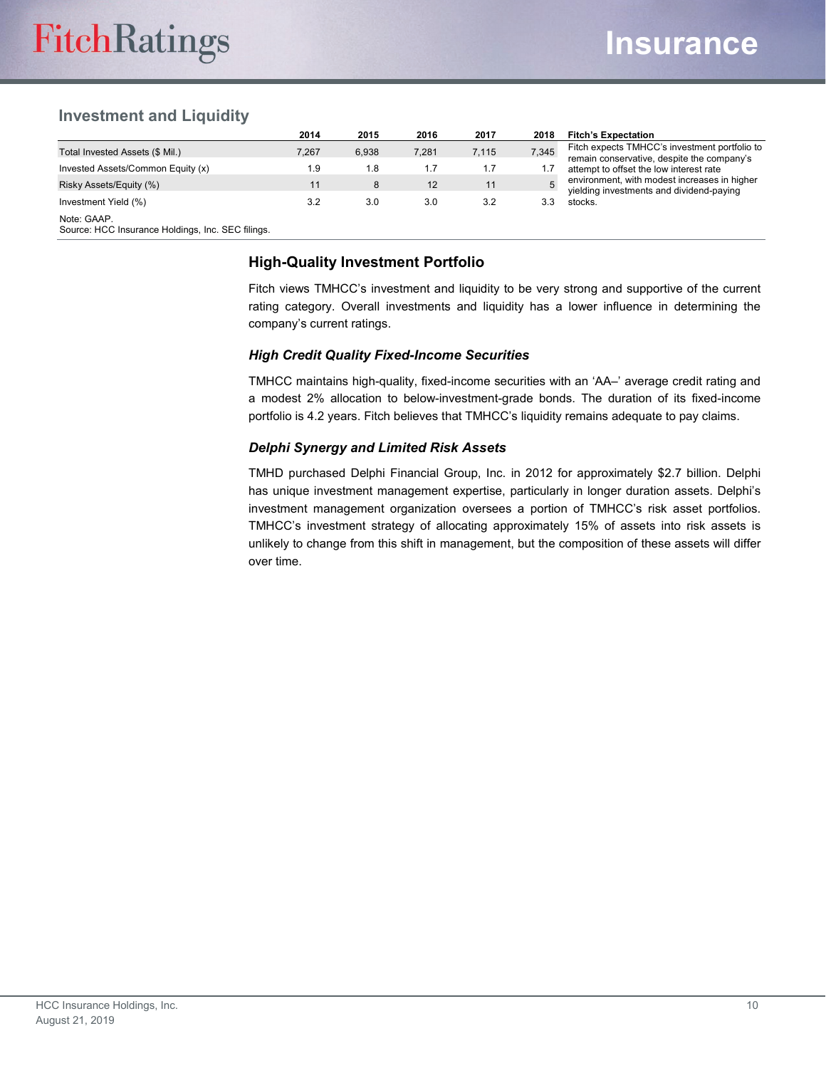#### **Investment and Liquidity**

|                                                                  | 2014  | 2015  | 2016  | 2017  | 2018  | <b>Fitch's Expectation</b>                                                                  |
|------------------------------------------------------------------|-------|-------|-------|-------|-------|---------------------------------------------------------------------------------------------|
| Total Invested Assets (\$ Mil.)                                  | 7.267 | 6.938 | 7,281 | 7.115 | 7,345 | Fitch expects TMHCC's investment portfolio to<br>remain conservative, despite the company's |
| Invested Assets/Common Equity (x)                                | ۱.9   | 1.8   |       | 1.7   |       | attempt to offset the low interest rate                                                     |
| Risky Assets/Equity (%)                                          |       | 8     | 12    | 11    | 5     | environment, with modest increases in higher<br>yielding investments and dividend-paying    |
| Investment Yield (%)                                             | 3.2   | 3.0   | 3.0   | 3.2   |       | stocks.                                                                                     |
| Note: GAAP.<br>Source: HCC Insurance Holdings, Inc. SEC filings. |       |       |       |       |       |                                                                                             |

#### **High-Quality Investment Portfolio**

Fitch views TMHCC's investment and liquidity to be very strong and supportive of the current rating category. Overall investments and liquidity has a lower influence in determining the company's current ratings.

#### *High Credit Quality Fixed-Income Securities*

TMHCC maintains high-quality, fixed-income securities with an 'AA–' average credit rating and a modest 2% allocation to below-investment-grade bonds. The duration of its fixed-income portfolio is 4.2 years. Fitch believes that TMHCC's liquidity remains adequate to pay claims.

#### *Delphi Synergy and Limited Risk Assets*

TMHD purchased Delphi Financial Group, Inc. in 2012 for approximately \$2.7 billion. Delphi has unique investment management expertise, particularly in longer duration assets. Delphi's investment management organization oversees a portion of TMHCC's risk asset portfolios. TMHCC's investment strategy of allocating approximately 15% of assets into risk assets is unlikely to change from this shift in management, but the composition of these assets will differ over time.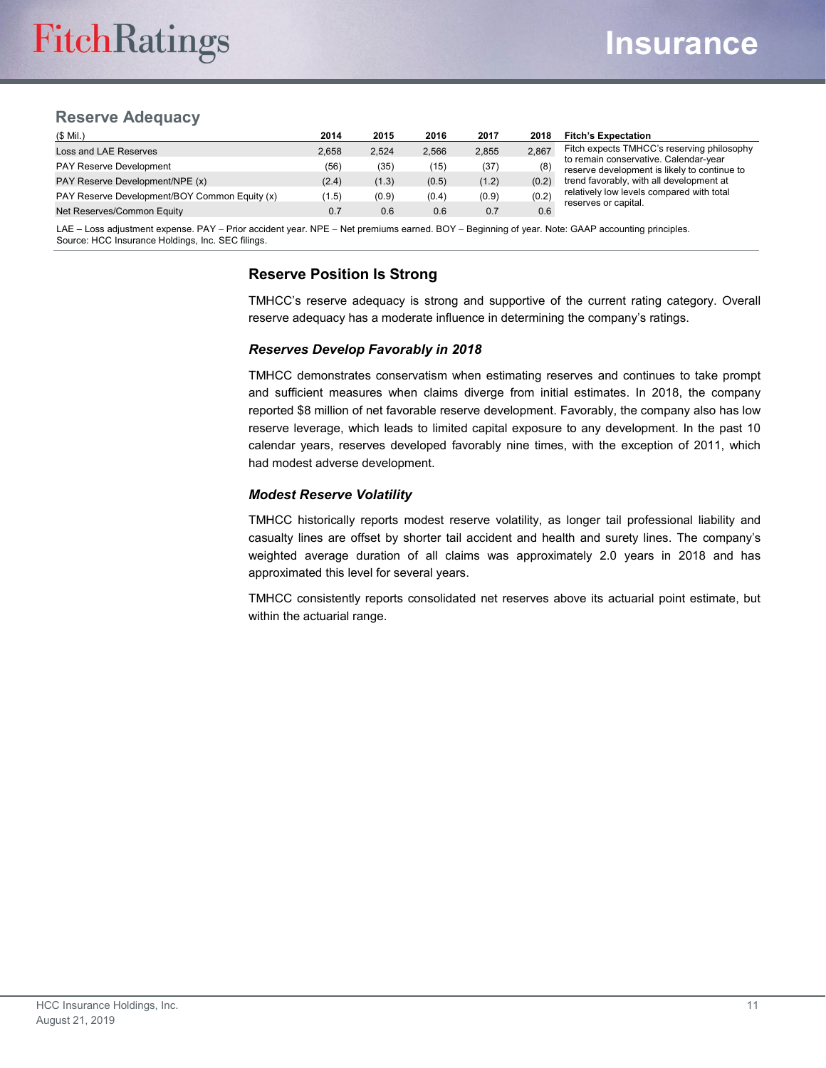#### **Reserve Adequacy**

| $(S$ Mil.)                                    | 2014  | 2015  | 2016  | 2017  | 2018  | <b>Fitch's Expectation</b>                                                            |
|-----------------------------------------------|-------|-------|-------|-------|-------|---------------------------------------------------------------------------------------|
| Loss and LAE Reserves                         | 2.658 | 2.524 | 2.566 | 2,855 | 2.867 | Fitch expects TMHCC's reserving philosophy                                            |
| <b>PAY Reserve Development</b>                | (56)  | (35)  | (15)  | (37)  | (8)   | to remain conservative. Calendar-year<br>reserve development is likely to continue to |
| PAY Reserve Development/NPE (x)               | (2.4) | (1.3) | (0.5) | (1.2) | (0.2) | trend favorably, with all development at                                              |
| PAY Reserve Development/BOY Common Equity (x) | (1.5) | (0.9) | (0.4) | (0.9) | (0.2) | relatively low levels compared with total<br>reserves or capital.                     |
| Net Reserves/Common Equity                    | 0.7   | 0.6   | 0.6   | 0.7   | 0.6   |                                                                                       |

LAE – Loss adjustment expense. PAY − Prior accident year. NPE − Net premiums earned. BOY − Beginning of year. Note: GAAP accounting principles. Source: HCC Insurance Holdings, Inc. SEC filings.

#### **Reserve Position Is Strong**

TMHCC's reserve adequacy is strong and supportive of the current rating category. Overall reserve adequacy has a moderate influence in determining the company's ratings.

#### *Reserves Develop Favorably in 2018*

TMHCC demonstrates conservatism when estimating reserves and continues to take prompt and sufficient measures when claims diverge from initial estimates. In 2018, the company reported \$8 million of net favorable reserve development. Favorably, the company also has low reserve leverage, which leads to limited capital exposure to any development. In the past 10 calendar years, reserves developed favorably nine times, with the exception of 2011, which had modest adverse development.

#### *Modest Reserve Volatility*

TMHCC historically reports modest reserve volatility, as longer tail professional liability and casualty lines are offset by shorter tail accident and health and surety lines. The company's weighted average duration of all claims was approximately 2.0 years in 2018 and has approximated this level for several years.

TMHCC consistently reports consolidated net reserves above its actuarial point estimate, but within the actuarial range.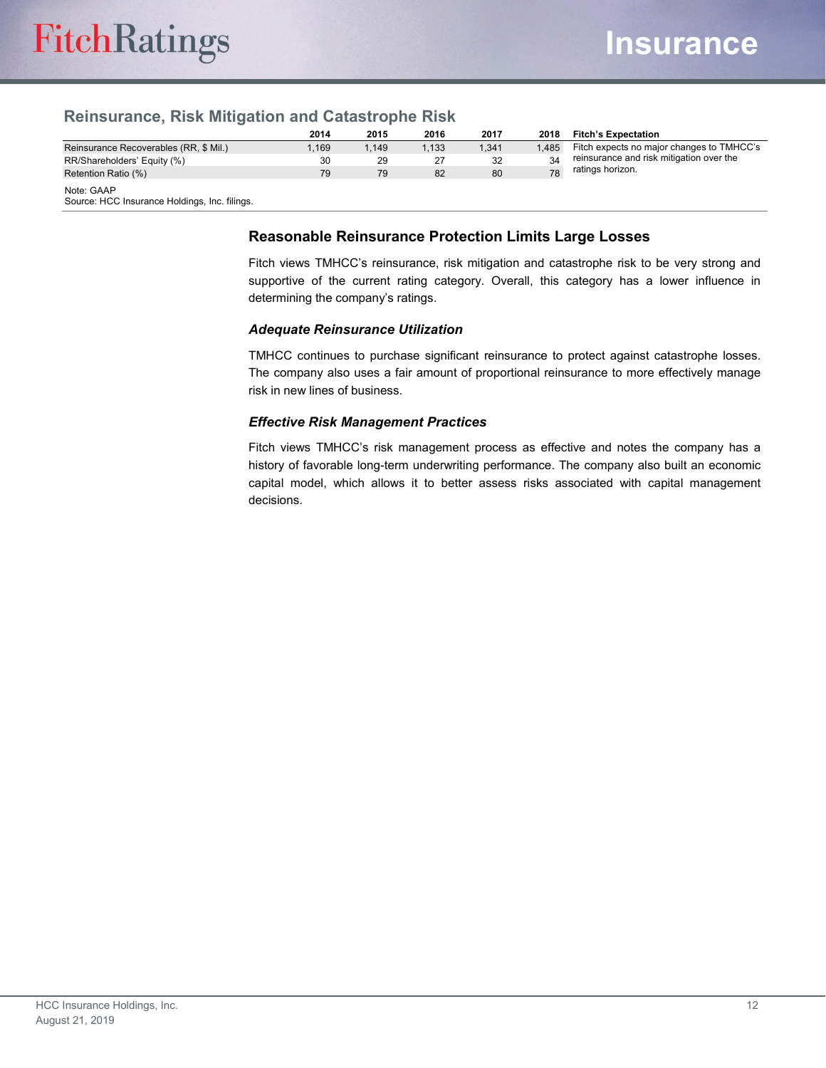#### **Reinsurance, Risk Mitigation and Catastrophe Risk**

|                                                             | 2014  | 2015  | 2016  | 2017  | 2018  | <b>Fitch's Expectation</b>                |
|-------------------------------------------------------------|-------|-------|-------|-------|-------|-------------------------------------------|
| Reinsurance Recoverables (RR, \$ Mil.)                      | 1.169 | 1.149 | 1,133 | 1,341 | 1.485 | Fitch expects no major changes to TMHCC's |
| RR/Shareholders' Equity (%)                                 | 30    | 29    | 27    | 32    | 34    | reinsurance and risk mitigation over the  |
| Retention Ratio (%)                                         | 79    | 79    | 82    | 80    | 78    | ratings horizon.                          |
| Note: GAAP<br>Source: HCC Insurance Holdings, Inc. filings. |       |       |       |       |       |                                           |

**Reasonable Reinsurance Protection Limits Large Losses**

Fitch views TMHCC's reinsurance, risk mitigation and catastrophe risk to be very strong and supportive of the current rating category. Overall, this category has a lower influence in determining the company's ratings.

#### *Adequate Reinsurance Utilization*

TMHCC continues to purchase significant reinsurance to protect against catastrophe losses. The company also uses a fair amount of proportional reinsurance to more effectively manage risk in new lines of business.

#### *Effective Risk Management Practices*

Fitch views TMHCC's risk management process as effective and notes the company has a history of favorable long-term underwriting performance. The company also built an economic capital model, which allows it to better assess risks associated with capital management decisions.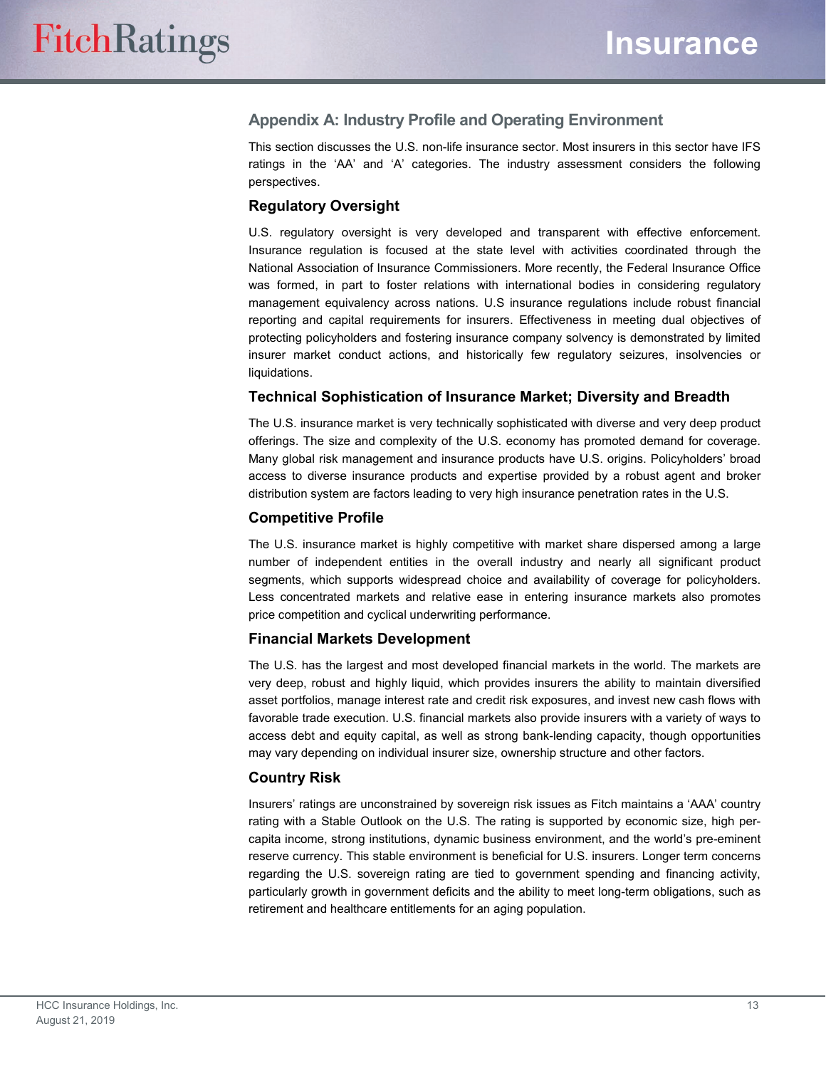#### **Appendix A: Industry Profile and Operating Environment**

This section discusses the U.S. non-life insurance sector. Most insurers in this sector have IFS ratings in the 'AA' and 'A' categories. The industry assessment considers the following perspectives.

#### **Regulatory Oversight**

U.S. regulatory oversight is very developed and transparent with effective enforcement. Insurance regulation is focused at the state level with activities coordinated through the National Association of Insurance Commissioners. More recently, the Federal Insurance Office was formed, in part to foster relations with international bodies in considering regulatory management equivalency across nations. U.S insurance regulations include robust financial reporting and capital requirements for insurers. Effectiveness in meeting dual objectives of protecting policyholders and fostering insurance company solvency is demonstrated by limited insurer market conduct actions, and historically few regulatory seizures, insolvencies or liquidations.

#### **Technical Sophistication of Insurance Market; Diversity and Breadth**

The U.S. insurance market is very technically sophisticated with diverse and very deep product offerings. The size and complexity of the U.S. economy has promoted demand for coverage. Many global risk management and insurance products have U.S. origins. Policyholders' broad access to diverse insurance products and expertise provided by a robust agent and broker distribution system are factors leading to very high insurance penetration rates in the U.S.

#### **Competitive Profile**

The U.S. insurance market is highly competitive with market share dispersed among a large number of independent entities in the overall industry and nearly all significant product segments, which supports widespread choice and availability of coverage for policyholders. Less concentrated markets and relative ease in entering insurance markets also promotes price competition and cyclical underwriting performance.

#### **Financial Markets Development**

The U.S. has the largest and most developed financial markets in the world. The markets are very deep, robust and highly liquid, which provides insurers the ability to maintain diversified asset portfolios, manage interest rate and credit risk exposures, and invest new cash flows with favorable trade execution. U.S. financial markets also provide insurers with a variety of ways to access debt and equity capital, as well as strong bank-lending capacity, though opportunities may vary depending on individual insurer size, ownership structure and other factors.

#### **Country Risk**

Insurers' ratings are unconstrained by sovereign risk issues as Fitch maintains a 'AAA' country rating with a Stable Outlook on the U.S. The rating is supported by economic size, high percapita income, strong institutions, dynamic business environment, and the world's pre-eminent reserve currency. This stable environment is beneficial for U.S. insurers. Longer term concerns regarding the U.S. sovereign rating are tied to government spending and financing activity, particularly growth in government deficits and the ability to meet long-term obligations, such as retirement and healthcare entitlements for an aging population.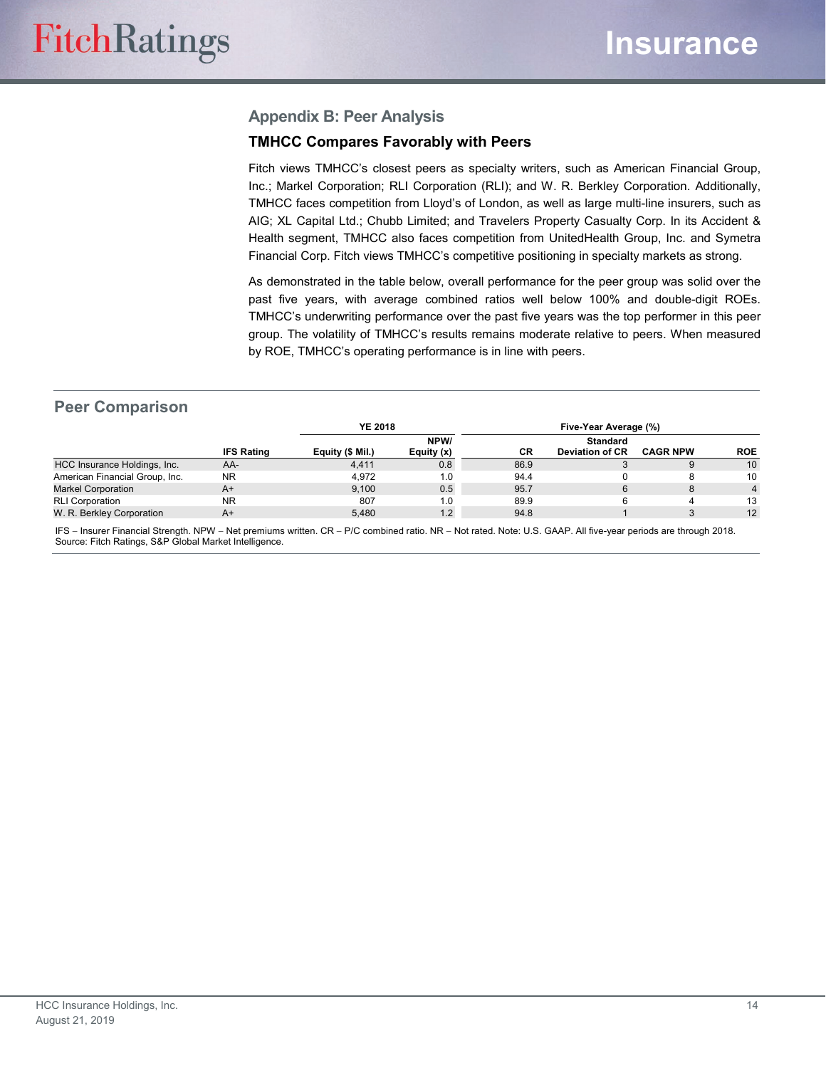#### **Appendix B: Peer Analysis**

#### **TMHCC Compares Favorably with Peers**

Fitch views TMHCC's closest peers as specialty writers, such as American Financial Group, Inc.; Markel Corporation; RLI Corporation (RLI); and W. R. Berkley Corporation. Additionally, TMHCC faces competition from Lloyd's of London, as well as large multi-line insurers, such as AIG; XL Capital Ltd.; Chubb Limited; and Travelers Property Casualty Corp. In its Accident & Health segment, TMHCC also faces competition from UnitedHealth Group, Inc. and Symetra Financial Corp. Fitch views TMHCC's competitive positioning in specialty markets as strong.

As demonstrated in the table below, overall performance for the peer group was solid over the past five years, with average combined ratios well below 100% and double-digit ROEs. TMHCC's underwriting performance over the past five years was the top performer in this peer group. The volatility of TMHCC's results remains moderate relative to peers. When measured by ROE, TMHCC's operating performance is in line with peers.

#### **Peer Comparison**

|                                |                   | <b>YE 2018</b>   |                    | Five-Year Average (%) |                                           |                 |            |  |
|--------------------------------|-------------------|------------------|--------------------|-----------------------|-------------------------------------------|-----------------|------------|--|
|                                | <b>IFS Rating</b> | Equity (\$ Mil.) | NPW/<br>Equity (x) | CR                    | <b>Standard</b><br><b>Deviation of CR</b> | <b>CAGR NPW</b> | <b>ROE</b> |  |
| HCC Insurance Holdings, Inc.   | AA-               | 4,411            | 0.8                | 86.9                  | J                                         |                 | 10         |  |
| American Financial Group, Inc. | <b>NR</b>         | 4.972            | 1.0                | 94.4                  |                                           |                 | 10         |  |
| <b>Markel Corporation</b>      | $A+$              | 9.100            | 0.5                | 95.7                  | 6                                         | 8               |            |  |
| <b>RLI Corporation</b>         | <b>NR</b>         | 807              | 1.0                | 89.9                  |                                           |                 | 13         |  |
| W. R. Berkley Corporation      | $A+$              | 5,480            | 1.2 <sub>1</sub>   | 94.8                  |                                           |                 | 12         |  |

IFS − Insurer Financial Strength. NPW − Net premiums written. CR − P/C combined ratio. NR − Not rated. Note: U.S. GAAP. All five-year periods are through 2018. Source: Fitch Ratings, S&P Global Market Intelligence.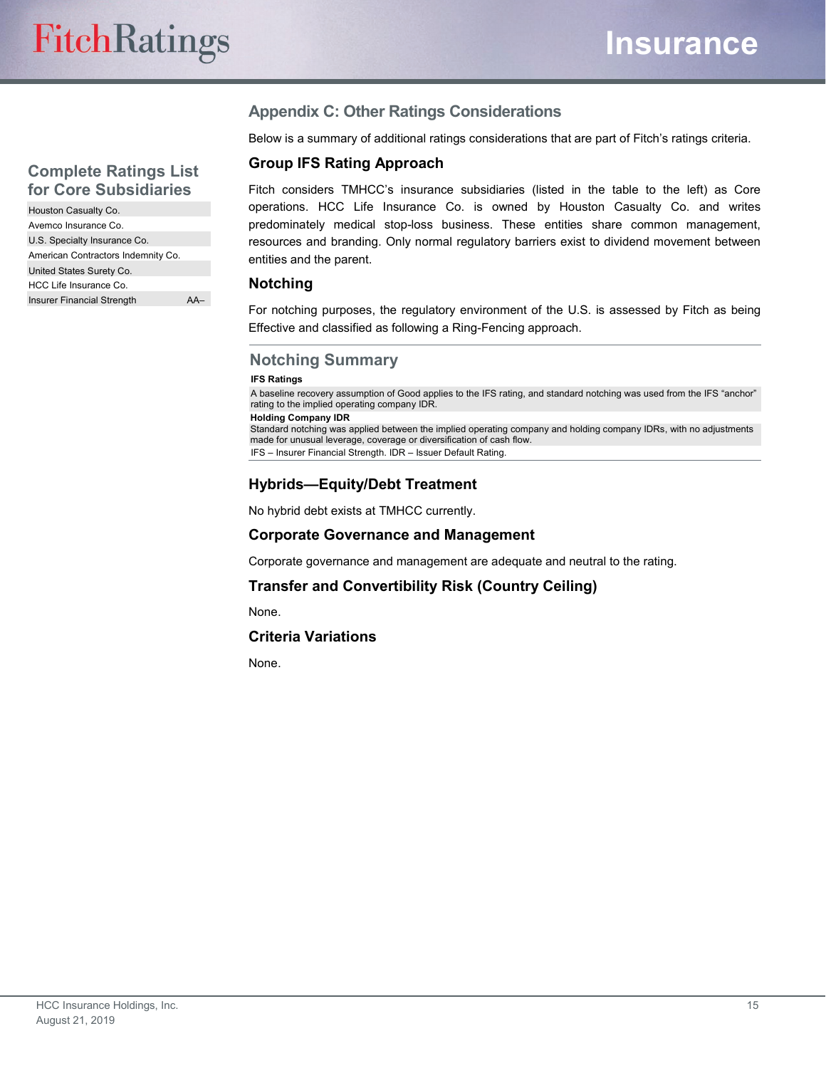#### **Complete Ratings List for Core Subsidiaries**

| Houston Casualty Co.               |  |
|------------------------------------|--|
| Avemco Insurance Co.               |  |
| U.S. Specialty Insurance Co.       |  |
| American Contractors Indemnity Co. |  |
| United States Surety Co.           |  |
| HCC Life Insurance Co.             |  |
| Insurer Financial Strength         |  |

#### **Appendix C: Other Ratings Considerations**

Below is a summary of additional ratings considerations that are part of Fitch's ratings criteria.

#### **Group IFS Rating Approach**

Fitch considers TMHCC's insurance subsidiaries (listed in the table to the left) as Core operations. HCC Life Insurance Co. is owned by Houston Casualty Co. and writes predominately medical stop-loss business. These entities share common management, resources and branding. Only normal regulatory barriers exist to dividend movement between entities and the parent.

#### **Notching**

For notching purposes, the regulatory environment of the U.S. is assessed by Fitch as being Effective and classified as following a Ring-Fencing approach.

#### **Notching Summary**

#### **IFS Ratings**

A baseline recovery assumption of Good applies to the IFS rating, and standard notching was used from the IFS "anchor" rating to the implied operating company IDR.

**Holding Company IDR**

Standard notching was applied between the implied operating company and holding company IDRs, with no adjustments made for unusual leverage, coverage or diversification of cash flow. IFS – Insurer Financial Strength. IDR – Issuer Default Rating.

#### **Hybrids—Equity/Debt Treatment**

No hybrid debt exists at TMHCC currently.

#### **Corporate Governance and Management**

Corporate governance and management are adequate and neutral to the rating.

#### **Transfer and Convertibility Risk (Country Ceiling)**

None.

#### **Criteria Variations**

None.